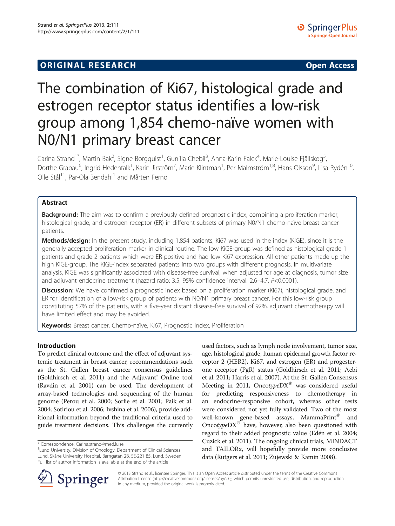## **ORIGINAL RESEARCH CONFIDENTIAL CONTRACT CONTRACT OPEN ACCESS**

# The combination of Ki67, histological grade and estrogen receptor status identifies a low-risk group among 1,854 chemo-naïve women with N0/N1 primary breast cancer

Carina Strand<sup>1\*</sup>, Martin Bak<sup>2</sup>, Signe Borgquist<sup>1</sup>, Gunilla Chebil<sup>3</sup>, Anna-Karin Falck<sup>4</sup>, Marie-Louise Fjällskog<sup>5</sup> , Dorthe Grabau<sup>6</sup>, Ingrid Hedenfalk<sup>1</sup>, Karin Jirström<sup>7</sup>, Marie Klintman<sup>1</sup>, Per Malmström<sup>1,8</sup>, Hans Olsson<sup>9</sup>, Lisa Rydén<sup>10</sup>, Olle Stål $^{11}$ , Pär-Ola Bendahl<sup>1</sup> and Mårten Fernö<sup>1</sup>

### Abstract

**Background:** The aim was to confirm a previously defined prognostic index, combining a proliferation marker, histological grade, and estrogen receptor (ER) in different subsets of primary N0/N1 chemo-naïve breast cancer patients.

Methods/design: In the present study, including 1,854 patients, Ki67 was used in the index (KiGE), since it is the generally accepted proliferation marker in clinical routine. The low KiGE-group was defined as histological grade 1 patients and grade 2 patients which were ER-positive and had low Ki67 expression. All other patients made up the high KiGE-group. The KiGE-index separated patients into two groups with different prognosis. In multivariate analysis, KiGE was significantly associated with disease-free survival, when adjusted for age at diagnosis, tumor size and adjuvant endocrine treatment (hazard ratio: 3.5, 95% confidence interval: 2.6–4.7, P<0.0001).

Discussion: We have confirmed a prognostic index based on a proliferation marker (Ki67), histological grade, and ER for identification of a low-risk group of patients with N0/N1 primary breast cancer. For this low-risk group constituting 57% of the patients, with a five-year distant disease-free survival of 92%, adjuvant chemotherapy will have limited effect and may be avoided.

Keywords: Breast cancer, Chemo-naïve, Ki67, Prognostic index, Proliferation

#### Introduction

To predict clinical outcome and the effect of adjuvant systemic treatment in breast cancer, recommendations such as the St. Gallen breast cancer consensus guidelines (Goldhirsch et al. [2011\)](#page-8-0) and the Adjuvant! Online tool (Ravdin et al. [2001\)](#page-9-0) can be used. The development of array-based technologies and sequencing of the human genome (Perou et al. [2000;](#page-9-0) Sorlie et al. [2001](#page-9-0); Paik et al. [2004;](#page-9-0) Sotiriou et al. [2006;](#page-9-0) Ivshina et al. [2006](#page-8-0)), provide additional information beyond the traditional criteria used to guide treatment decisions. This challenges the currently

used factors, such as lymph node involvement, tumor size, age, histological grade, human epidermal growth factor receptor 2 (HER2), Ki67, and estrogen (ER) and progesterone receptor (PgR) status (Goldhirsch et al. [2011](#page-8-0); Aebi et al. [2011](#page-8-0); Harris et al. [2007\)](#page-8-0). At the St. Gallen Consensus Meeting in 2011, Oncotype $DX^{\circledast}$  was considered useful for predicting responsiveness to chemotherapy in an endocrine-responsive cohort, whereas other tests were considered not yet fully validated. Two of the most well-known gene-based assays, MammaPrint® and Oncotype $DX^{\circledast}$  have, however, also been questioned with regard to their added prognostic value (Edén et al. [2004](#page-8-0); Cuzick et al. [2011\)](#page-8-0). The ongoing clinical trials, MINDACT and TAILORx, will hopefully provide more conclusive data (Rutgers et al. [2011](#page-9-0); Zujewski & Kamin [2008](#page-9-0)).



© 2013 Strand et al.; licensee Springer. This is an Open Access article distributed under the terms of the Creative Commons Attribution License [\(http://creativecommons.org/licenses/by/2.0\)](http://creativecommons.org/licenses/by/2.0), which permits unrestricted use, distribution, and reproduction in any medium, provided the original work is properly cited.

<sup>\*</sup> Correspondence: [Carina.strand@med.lu.se](mailto:Carina.strand@med.lu.se) <sup>1</sup>

<sup>&</sup>lt;sup>1</sup> Lund University, Division of Oncology, Department of Clinical Sciences Lund, Skåne University Hospital, Barngatan 2B, SE-221 85, Lund, Sweden Full list of author information is available at the end of the article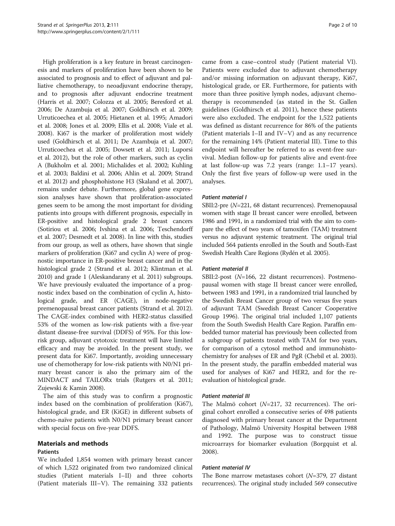High proliferation is a key feature in breast carcinogenesis and markers of proliferation have been shown to be associated to prognosis and to effect of adjuvant and palliative chemotherapy, to neoadjuvant endocrine therapy, and to prognosis after adjuvant endocrine treatment (Harris et al. [2007;](#page-8-0) Colozza et al. [2005;](#page-8-0) Beresford et al. [2006;](#page-8-0) De Azambuja et al. [2007](#page-8-0); Goldhirsch et al. [2009](#page-8-0); Urruticoechea et al. [2005](#page-9-0); Hietanen et al. [1995](#page-8-0); Amadori et al. [2008](#page-8-0); Jones et al. [2009;](#page-9-0) Ellis et al. [2008](#page-8-0); Viale et al. [2008\)](#page-9-0). Ki67 is the marker of proliferation most widely used (Goldhirsch et al. [2011](#page-8-0); De Azambuja et al. [2007](#page-8-0); Urruticoechea et al. [2005](#page-9-0); Dowsett et al. [2011](#page-8-0); Luporsi et al. [2012](#page-9-0)), but the role of other markers, such as cyclin A (Bukholm et al. [2001](#page-8-0); Michalides et al. [2002;](#page-9-0) Kuhling et al. [2003](#page-9-0); Baldini et al. [2006;](#page-8-0) Ahlin et al. [2009](#page-8-0); Strand et al. [2012\)](#page-9-0) and phosphohistone H3 (Skaland et al. [2007](#page-9-0)), remains under debate. Furthermore, global gene expression analyses have shown that proliferation-associated genes seem to be among the most important for dividing patients into groups with different prognosis, especially in ER-positive and histological grade 2 breast cancers (Sotiriou et al. [2006;](#page-9-0) Ivshina et al. [2006](#page-8-0); Teschendorff et al. [2007;](#page-9-0) Desmedt et al. [2008](#page-8-0)). In line with this, studies from our group, as well as others, have shown that single markers of proliferation (Ki67 and cyclin A) were of prognostic importance in ER-positive breast cancer and in the histological grade 2 (Strand et al. [2012;](#page-9-0) Klintman et al. [2010\)](#page-9-0) and grade 1 (Aleskandarany et al. [2011\)](#page-8-0) subgroups. We have previously evaluated the importance of a prognostic index based on the combination of cyclin A, histological grade, and ER (CAGE), in node-negative premenopausal breast cancer patients (Strand et al. [2012](#page-9-0)). The CAGE-index combined with HER2-status classified 53% of the women as low-risk patients with a five-year distant disease-free survival (DDFS) of 95%. For this lowrisk group, adjuvant cytotoxic treatment will have limited efficacy and may be avoided. In the present study, we present data for Ki67. Importantly, avoiding unnecessary use of chemotherapy for low-risk patients with N0/N1 primary breast cancer is also the primary aim of the MINDACT and TAILORx trials (Rutgers et al. [2011](#page-9-0); Zujewski & Kamin [2008](#page-9-0)).

The aim of this study was to confirm a prognostic index based on the combination of proliferation (Ki67), histological grade, and ER (KiGE) in different subsets of chemo-naïve patients with N0/N1 primary breast cancer with special focus on five-year DDFS.

#### Materials and methods

#### Patients

We included 1,854 women with primary breast cancer of which 1,522 originated from two randomized clinical studies (Patient materials I–II) and three cohorts (Patient materials III–V). The remaining 332 patients

came from a case–control study (Patient material VI). Patients were excluded due to adjuvant chemotherapy and/or missing information on adjuvant therapy, Ki67, histological grade, or ER. Furthermore, for patients with more than three positive lymph nodes, adjuvant chemotherapy is recommended (as stated in the St. Gallen guidelines (Goldhirsch et al. [2011](#page-8-0)), hence these patients were also excluded. The endpoint for the 1,522 patients was defined as distant recurrence for 86% of the patients (Patient materials I–II and IV–V) and as any recurrence for the remaining 14% (Patient material III). Time to this endpoint will hereafter be referred to as event-free survival. Median follow-up for patients alive and event-free at last follow-up was 7.2 years (range: 1.1–17 years). Only the first five years of follow-up were used in the analyses.

#### Patient material I

SBII:2-pre (N=221, 68 distant recurrences). Premenopausal women with stage II breast cancer were enrolled, between 1986 and 1991, in a randomized trial with the aim to compare the effect of two years of tamoxifen (TAM) treatment versus no adjuvant systemic treatment. The original trial included 564 patients enrolled in the South and South-East Swedish Health Care Regions (Rydén et al. [2005](#page-9-0)).

#### Patient material II

SBII:2-post (N=166, 22 distant recurrences). Postmenopausal women with stage II breast cancer were enrolled, between 1983 and 1991, in a randomized trial launched by the Swedish Breast Cancer group of two versus five years of adjuvant TAM (Swedish Breast Cancer Cooperative Group [1996](#page-9-0)). The original trial included 1,107 patients from the South Swedish Health Care Region. Paraffin embedded tumor material has previously been collected from a subgroup of patients treated with TAM for two years, for comparison of a cytosol method and immunohistochemistry for analyses of ER and PgR (Chebil et al. [2003](#page-8-0)). In the present study, the paraffin embedded material was used for analyses of Ki67 and HER2, and for the reevaluation of histological grade.

#### Patient material III

The Malmö cohort  $(N=217, 32$  recurrences). The original cohort enrolled a consecutive series of 498 patients diagnosed with primary breast cancer at the Department of Pathology, Malmö University Hospital between 1988 and 1992. The purpose was to construct tissue microarrays for biomarker evaluation (Borgquist et al. [2008](#page-8-0)).

#### Patient material IV

The Bone marrow metastases cohort (N=379, 27 distant recurrences). The original study included 569 consecutive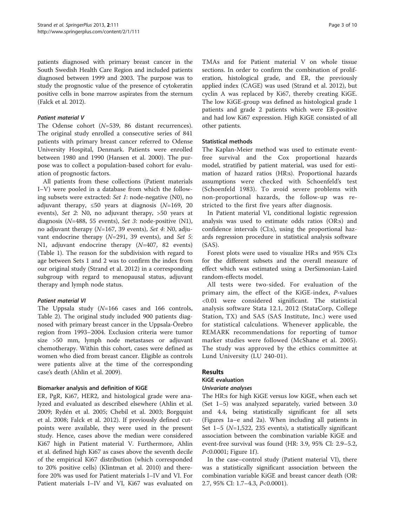patients diagnosed with primary breast cancer in the South Swedish Health Care Region and included patients diagnosed between 1999 and 2003. The purpose was to study the prognostic value of the presence of cytokeratin positive cells in bone marrow aspirates from the sternum (Falck et al. [2012\)](#page-8-0).

#### Patient material V

The Odense cohort (N=539, 86 distant recurrences). The original study enrolled a consecutive series of 841 patients with primary breast cancer referred to Odense University Hospital, Denmark. Patients were enrolled between 1980 and 1990 (Hansen et al. [2000](#page-8-0)). The purpose was to collect a population-based cohort for evaluation of prognostic factors.

All patients from these collections (Patient materials I–V) were pooled in a database from which the following subsets were extracted: Set 1: node-negative (N0), no adjuvant therapy,  $\leq 50$  years at diagnosis (N=169, 20 events), Set 2: N0, no adjuvant therapy, >50 years at diagnosis ( $N=488$ , 55 events), Set 3: node-positive (N1), no adjuvant therapy  $(N=167, 39$  events), Set 4: N0, adjuvant endocrine therapy  $(N=291, 39$  events), and Set 5: N1, adjuvant endocrine therapy (N=407, 82 events) (Table [1\)](#page-3-0). The reason for the subdivision with regard to age between Sets 1 and 2 was to confirm the index from our original study (Strand et al. [2012\)](#page-9-0) in a corresponding subgroup with regard to menopausal status, adjuvant therapy and lymph node status.

#### Patient material VI

The Uppsala study (N=166 cases and 166 controls, Table [2](#page-4-0)). The original study included 900 patients diagnosed with primary breast cancer in the Uppsala-Örebro region from 1993–2004. Exclusion criteria were tumor size >50 mm, lymph node metastases or adjuvant chemotherapy. Within this cohort, cases were defined as women who died from breast cancer. Eligible as controls were patients alive at the time of the corresponding case's death (Ahlin et al. [2009](#page-8-0)).

#### Biomarker analysis and definition of KiGE

ER, PgR, Ki67, HER2, and histological grade were analyzed and evaluated as described elsewhere (Ahlin et al. [2009](#page-8-0); Rydén et al. [2005;](#page-9-0) Chebil et al. [2003](#page-8-0); Borgquist et al. [2008;](#page-8-0) Falck et al. [2012\)](#page-8-0). If previously defined cutpoints were available, they were used in the present study. Hence, cases above the median were considered Ki67 high in Patient material V. Furthermore, Ahlin et al. defined high Ki67 as cases above the seventh decile of the empirical Ki67 distribution (which corresponded to 20% positive cells) (Klintman et al. [2010\)](#page-9-0) and therefore 20% was used for Patient materials I–IV and VI. For Patient materials I–IV and VI, Ki67 was evaluated on

TMAs and for Patient material V on whole tissue sections. In order to confirm the combination of proliferation, histological grade, and ER, the previously applied index (CAGE) was used (Strand et al. [2012](#page-9-0)), but cyclin A was replaced by Ki67, thereby creating KiGE. The low KiGE-group was defined as histological grade 1 patients and grade 2 patients which were ER-positive and had low Ki67 expression. High KiGE consisted of all other patients.

#### Statistical methods

The Kaplan-Meier method was used to estimate eventfree survival and the Cox proportional hazards model, stratified by patient material, was used for estimation of hazard ratios (HR:s). Proportional hazards assumptions were checked with Schoenfeld's test (Schoenfeld [1983\)](#page-9-0). To avoid severe problems with non-proportional hazards, the follow-up was restricted to the first five years after diagnosis.

In Patient material VI, conditional logistic regression analysis was used to estimate odds ratios (OR:s) and confidence intervals (CI:s), using the proportional hazards regression procedure in statistical analysis software (SAS).

Forest plots were used to visualize HR:s and 95% CI:s for the different subsets and the overall measure of effect which was estimated using a DerSimonian-Laird random-effects model.

All tests were two-sided. For evaluation of the primary aim, the effect of the KiGE-index, P-values <0.01 were considered significant. The statistical analysis software Stata 12.1, 2012 (StataCorp, College Station, TX) and SAS (SAS Institute, Inc.) were used for statistical calculations. Whenever applicable, the REMARK recommendations for reporting of tumor marker studies were followed (McShane et al. [2005](#page-9-0)). The study was approved by the ethics committee at Lund University (LU 240-01).

#### Results

#### KiGE evaluation

#### Univariate analyses

The HR:s for high KiGE versus low KiGE, when each set (Set 1–5) was analyzed separately, varied between 3.0 and 4.4, being statistically significant for all sets (Figures [1](#page-5-0)a–e and [2a](#page-6-0)). When including all patients in Set  $1-5$  ( $N=1,522, 235$  events), a statistically significant association between the combination variable KiGE and event-free survival was found (HR: 3.9, 95% CI: 2.9–5.2,  $P < 0.0001$ ; Figure [1f](#page-5-0)).

In the case–control study (Patient material VI), there was a statistically significant association between the combination variable KiGE and breast cancer death (OR: 2.7, 95% CI: 1.7–4.3, P<0.0001).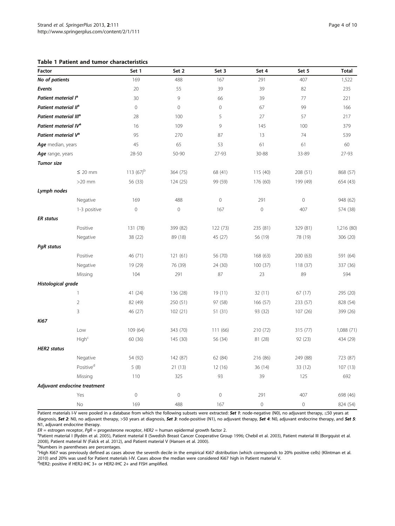#### <span id="page-3-0"></span>Table 1 Patient and tumor characteristics

| Factor                            |                              | Set 1          | Set 2        | Set 3               | Set 4          | Set 5       | <b>Total</b> |
|-----------------------------------|------------------------------|----------------|--------------|---------------------|----------------|-------------|--------------|
| No of patients                    |                              | 169            | 488          | 167                 | 291            | 407         | 1,522        |
| Events                            |                              | 20             | 55           | 39                  | 39             | 82          | 235          |
| Patient material l <sup>a</sup>   |                              | 30             | 9            | 66                  | 39             | 77          | 221          |
| Patient material II <sup>a</sup>  |                              | $\circ$        | $\mathbf{0}$ | $\circ$             | 67             | 99          | 166          |
| Patient material III <sup>a</sup> |                              | 28             | 100          | 5                   | 27             | 57          | 217          |
| Patient material IV <sup>a</sup>  |                              | 16             | 109          | 9                   | 145            | 100         | 379          |
| Patient material V <sup>a</sup>   |                              | 95             | 270          | 87                  | 13             | 74          | 539          |
| Age median, years                 |                              | 45             | 65           | 53                  | 61             | 61          | 60           |
| Age range, years                  |                              | 28-50          | 50-90        | 27-93               | 30-88          | 33-89       | 27-93        |
| <b>Tumor</b> size                 |                              |                |              |                     |                |             |              |
|                                   | $\leq$ 20 mm                 | 113 $(67)^{b}$ | 364 (75)     | 68 (41)             | 115(40)        | 208 (51)    | 868 (57)     |
|                                   | $>20$ mm                     | 56 (33)        | 124 (25)     | 99 (59)             | 176 (60)       | 199 (49)    | 654 (43)     |
| Lymph nodes                       |                              |                |              |                     |                |             |              |
|                                   | Negative                     | 169            | 488          | $\mathsf{O}\xspace$ | 291            | $\mathbf 0$ | 948 (62)     |
|                                   | 1-3 positive                 | $\mathbf 0$    | $\mathbf 0$  | 167                 | $\mathbf 0$    | 407         | 574 (38)     |
| <b>ER</b> status                  |                              |                |              |                     |                |             |              |
|                                   | Positive                     | 131 (78)       | 399 (82)     | 122 (73)            | 235 (81)       | 329 (81)    | 1,216 (80)   |
|                                   | Negative                     | 38 (22)        | 89 (18)      | 45 (27)             | 56 (19)        | 78 (19)     | 306 (20)     |
| <b>PgR</b> status                 |                              |                |              |                     |                |             |              |
|                                   | Positive                     | 46 (71)        | 121(61)      | 56 (70)             | 168 (63)       | 200 (63)    | 591 (64)     |
|                                   | Negative                     | 19 (29)        | 76 (39)      | 24 (30)             | 100(37)        | 118 (37)    | 337 (36)     |
|                                   | Missing                      | 104            | 291          | 87                  | 23             | 89          | 594          |
| Histological grade                |                              |                |              |                     |                |             |              |
|                                   | 1                            | 41 (24)        | 136 (28)     | 19 (11)             | 32 (11)        | 67(17)      | 295 (20)     |
|                                   | $\overline{2}$               | 82 (49)        | 250 (51)     | 97 (58)             | 166(57)        | 233 (57)    | 828 (54)     |
|                                   | 3                            | 46 (27)        | 102(21)      | 51(31)              | 93 (32)        | 107 (26)    | 399 (26)     |
| <b>Ki67</b>                       |                              |                |              |                     |                |             |              |
|                                   | Low                          | 109 (64)       | 343 (70)     | 111 (66)            | 210 (72)       | 315 (77)    | 1,088 (71)   |
|                                   | High <sup>c</sup>            | 60 (36)        | 145 (30)     | 56 (34)             | 81 (28)        | 92 (23)     | 434 (29)     |
| <b>HER2</b> status                |                              |                |              |                     |                |             |              |
|                                   | Negative                     | 54 (92)        | 142 (87)     | 62 (84)             | 216 (86)       | 249 (88)    | 723 (87)     |
|                                   | Positive <sup>d</sup>        | 5(8)           | 21(13)       | 12 (16)             | 36 (14)        | 33 (12)     | 107(13)      |
|                                   | Missing                      | 110            | 325          | 93                  | 39             | 125         | 692          |
|                                   | Adjuvant endocrine treatment |                |              |                     |                |             |              |
|                                   | Yes                          | $\mathbf 0$    | $\mathbf 0$  | $\mathsf{O}\xspace$ | 291            | 407         | 698 (46)     |
|                                   | No                           | 169            | 488          | 167                 | $\overline{0}$ | $\mathbf 0$ | 824 (54)     |

Patient materials I-V were pooled in a database from which the following subsets were extracted: Set 1: node-negative (N0), no adjuvant therapy, ≤50 years at diagnosis, Set 2: N0, no adjuvant therapy, >50 years at diagnosis, Set 3: node-positive (N1), no adjuvant therapy, Set 4: N0, adjuvant endocrine therapy, and Set 5: N1, adjuvant endocrine therapy.

 $ER =$  estrogen receptor,  $PgR =$  progesterone receptor, HER2 = human epidermal growth factor 2.

<sup>a</sup>Patient material I (Rydén et al. [2005\)](#page-9-0), Patient material II (Swedish Breast Cancer Cooperative Group [1996;](#page-9-0) Chebil et al. [2003\)](#page-9-0), Patient material III (Borgquist et al. [2008](#page-9-0)), Patient material IV (Falck et al. [2012](#page-9-0)), and Patient material V (Hansen et al. [2000](#page-9-0)).

Numbers in parentheses are percentages.

c High Ki67 was previously defined as cases above the seventh decile in the empirical Ki67 distribution (which corresponds to 20% positive cells) (Klintman et al. [2010](#page-9-0)) and 20% was used for Patient materials I-IV. Cases above the median were considered Ki67 high in Patient material V.<br><sup>d</sup>HEP?: positive if HEP? IHC 2 Log HEP? IHC 2 Land EISH amplified

 $d$ HER2: positive if HER2-IHC 3+ or HER2-IHC 2+ and FISH amplified.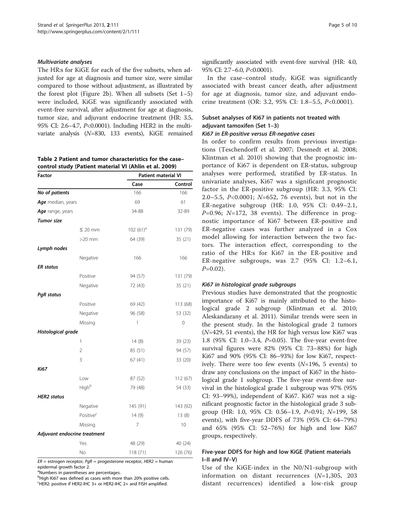#### <span id="page-4-0"></span>Multivariate analyses

The HR:s for KiGE for each of the five subsets, when adjusted for age at diagnosis and tumor size, were similar compared to those without adjustment, as illustrated by the forest plot (Figure [2b](#page-6-0)). When all subsets (Set  $1-5$ ) were included, KiGE was significantly associated with event-free survival, after adjustment for age at diagnosis, tumor size, and adjuvant endocrine treatment (HR: 3.5, 95% CI: 2.6–4.7, P<0.0001). Including HER2 in the multivariate analysis (N=830, 133 events), KiGE remained

Table 2 Patient and tumor characteristics for the case– control study (Patient material VI (Ahlin et al. [2009](#page-9-0))

| Factor             |                              | <b>Patient material VI</b> |          |  |  |
|--------------------|------------------------------|----------------------------|----------|--|--|
|                    |                              | Case                       | Control  |  |  |
| No of patients     |                              | 166                        | 166      |  |  |
| Age median, years  |                              | 69                         | 61       |  |  |
| Age range, years   |                              | 34-88                      | 32-89    |  |  |
| <b>Tumor size</b>  |                              |                            |          |  |  |
|                    | ≤ 20 mm                      | $102(61)^a$                | 131 (79) |  |  |
|                    | $>20$ mm                     | 64 (39)                    | 35 (21)  |  |  |
| Lymph nodes        |                              |                            |          |  |  |
|                    | Negative                     | 166                        | 166      |  |  |
| <b>ER</b> status   |                              |                            |          |  |  |
|                    | Positive                     | 94 (57)                    | 131 (79) |  |  |
|                    | Negative                     | 72 (43)                    | 35 (21)  |  |  |
| <b>PgR</b> status  |                              |                            |          |  |  |
|                    | Positive                     | 69 (42)                    | 113 (68) |  |  |
|                    | Negative                     | 96 (58)                    | 53 (32)  |  |  |
|                    | Missing                      | 1                          | 0        |  |  |
| Histological grade |                              |                            |          |  |  |
|                    | 1                            | 14(8)                      | 39 (23)  |  |  |
|                    | $\overline{2}$               | 85 (51)                    | 94 (57)  |  |  |
|                    | 3                            | 67(41)                     | 33 (20)  |  |  |
| <b>Ki67</b>        |                              |                            |          |  |  |
|                    | Low                          | 87 (52)                    | 112 (67) |  |  |
|                    | Highb                        | 79 (48)                    | 54 (33)  |  |  |
| <b>HER2</b> status |                              |                            |          |  |  |
|                    | Negative                     | 145 (91)                   | 143 (92) |  |  |
|                    | Positive <sup>c</sup>        | 14(9)                      | 13(8)    |  |  |
|                    | Missing                      | 7                          | 10       |  |  |
|                    | Adjuvant endocrine treatment |                            |          |  |  |
|                    | Yes                          | 48 (29)                    | 40 (24)  |  |  |
|                    | No                           | 118 (71)                   | 126 (76) |  |  |

 $ER =$  estrogen receptor,  $PqR =$  progesterone receptor, HER2 = human epidermal growth factor 2.

<sup>a</sup>Numbers in parentheses are percentages.

<sup>b</sup>High Ki67 was defined as cases with more than 20% positive cells.

<sup>c</sup>HER2: positive if HER2-IHC 3+ or HER2-IHC 2+ and FISH amplified.

significantly associated with event-free survival (HR: 4.0, 95% CI: 2.7–6.0, P<0.0001).

In the case–control study, KiGE was significantly associated with breast cancer death, after adjustment for age at diagnosis, tumor size, and adjuvant endocrine treatment (OR: 3.2, 95% CI: 1.8–5.5, P<0.0001).

#### Subset analyses of Ki67 in patients not treated with adjuvant tamoxifen (Set 1–3)

#### Ki67 in ER-positive versus ER-negative cases

In order to confirm results from previous investigations (Teschendorff et al. [2007](#page-9-0); Desmedt et al. [2008](#page-8-0); Klintman et al. [2010\)](#page-9-0) showing that the prognostic importance of Ki67 is dependent on ER-status, subgroup analyses were performed, stratified by ER-status. In univariate analyses, Ki67 was a significant prognostic factor in the ER-positive subgroup (HR: 3.3, 95% CI: 2.0–5.5, P<0.0001; N=652, 76 events), but not in the ER-negative subgroup (HR: 1.0, 95% CI: 0.49–2.1,  $P=0.96$ ;  $N=172$ , 38 events). The difference in prognostic importance of Ki67 between ER-positive and ER-negative cases was further analyzed in a Cox model allowing for interaction between the two factors. The interaction effect, corresponding to the ratio of the HR:s for Ki67 in the ER-positive and ER-negative subgroups, was 2.7 (95% CI: 1.2–6.1,  $P=0.02$ ).

#### Ki67 in histological grade subgroups

Previous studies have demonstrated that the prognostic importance of Ki67 is mainly attributed to the histological grade 2 subgroup (Klintman et al. [2010](#page-9-0); Aleskandarany et al. [2011](#page-8-0)). Similar trends were seen in the present study. In the histological grade 2 tumors  $(N=429, 51$  events), the HR for high versus low Ki67 was 1.8 (95% CI: 1.0–3.4, P=0.05). The five-year event-free survival figures were 82% (95% CI: 73–88%) for high Ki67 and 90% (95% CI: 86–93%) for low Ki67, respectively. There were too few events  $(N=196, 5 \text{ events})$  to draw any conclusions on the impact of Ki67 in the histological grade 1 subgroup. The five-year event-free survival in the histological grade 1 subgroup was 97% (95% CI: 93–99%), independent of Ki67. Ki67 was not a significant prognostic factor in the histological grade 3 subgroup (HR: 1.0, 95% CI: 0.56–1.9, P=0.91; N=199, 58 events), with five-year DDFS of 73% (95% CI: 64–79%) and 65% (95% CI: 52–76%) for high and low Ki67 groups, respectively.

#### Five-year DDFS for high and low KiGE (Patient materials I–II and IV–V)

Use of the KiGE-index in the N0/N1-subgroup with information on distant recurrences  $(N=1,305, 203)$ distant recurrences) identified a low-risk group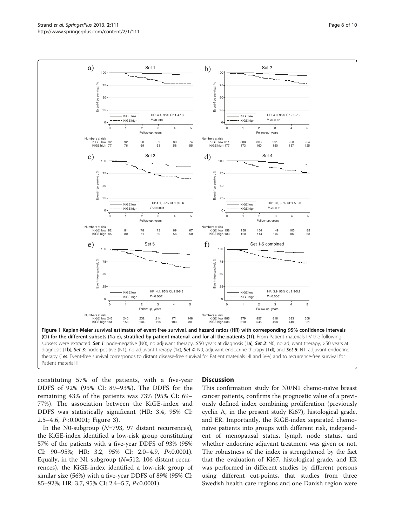<span id="page-5-0"></span>

constituting 57% of the patients, with a five-year DDFS of 92% (95% CI: 89–93%). The DDFS for the remaining 43% of the patients was 73% (95% CI: 69– 77%). The association between the KiGE-index and DDFS was statistically significant (HR: 3.4, 95% CI: 2.5–4.6, P<0.0001; Figure [3](#page-7-0)).

In the N0-subgroup ( $N=793$ , 97 distant recurrences), the KiGE-index identified a low-risk group constituting 57% of the patients with a five-year DDFS of 93% (95% CI: 90–95%; HR: 3.2, 95% CI: 2.0–4.9, P<0.0001). Equally, in the N1-subgroup ( $N=512$ , 106 distant recurrences), the KiGE-index identified a low-risk group of similar size (56%) with a five-year DDFS of 89% (95% CI: 85–92%; HR: 3.7, 95% CI: 2.4–5.7, P<0.0001).

#### **Discussion**

This confirmation study for N0/N1 chemo-naïve breast cancer patients, confirms the prognostic value of a previously defined index combining proliferation (previously cyclin A, in the present study Ki67), histological grade, and ER. Importantly, the KiGE-index separated chemonaïve patients into groups with different risk, independent of menopausal status, lymph node status, and whether endocrine adjuvant treatment was given or not. The robustness of the index is strengthened by the fact that the evaluation of Ki67, histological grade, and ER was performed in different studies by different persons using different cut-points, that studies from three Swedish health care regions and one Danish region were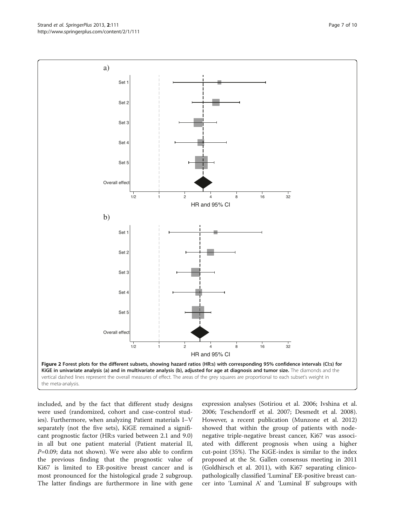included, and by the fact that different study designs were used (randomized, cohort and case-control studies). Furthermore, when analyzing Patient materials I–V separately (not the five sets), KiGE remained a significant prognostic factor (HR:s varied between 2.1 and 9.0) in all but one patient material (Patient material II,  $P=0.09$ ; data not shown). We were also able to confirm the previous finding that the prognostic value of Ki67 is limited to ER-positive breast cancer and is most pronounced for the histological grade 2 subgroup. The latter findings are furthermore in line with gene

expression analyses (Sotiriou et al. [2006](#page-9-0); Ivshina et al. [2006](#page-8-0); Teschendorff et al. [2007;](#page-9-0) Desmedt et al. [2008](#page-8-0)). However, a recent publication (Munzone et al. [2012](#page-9-0)) showed that within the group of patients with nodenegative triple-negative breast cancer, Ki67 was associated with different prognosis when using a higher cut-point (35%). The KiGE-index is similar to the index proposed at the St. Gallen consensus meeting in 2011 (Goldhirsch et al. [2011](#page-8-0)), with Ki67 separating clinicopathologically classified 'Luminal' ER-positive breast cancer into 'Luminal A' and 'Luminal B' subgroups with

<span id="page-6-0"></span>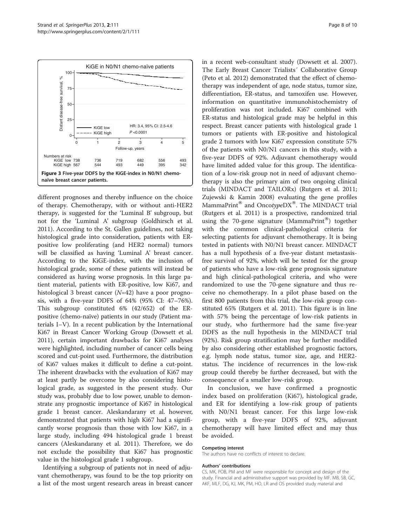<span id="page-7-0"></span>

different prognoses and thereby influence on the choice of therapy. Chemotherapy, with or without anti-HER2 therapy, is suggested for the 'Luminal B' subgroup, but not for the 'Luminal A' subgroup (Goldhirsch et al. [2011](#page-8-0)). According to the St. Gallen guidelines, not taking histological grade into consideration, patients with ERpositive low proliferating (and HER2 normal) tumors will be classified as having 'Luminal A' breast cancer. According to the KiGE-index, with the inclusion of histological grade, some of these patients will instead be considered as having worse prognosis. In this large patient material, patients with ER-positive, low Ki67, and histological 3 breast cancer  $(N=42)$  have a poor prognosis, with a five-year DDFS of 64% (95% CI: 47–76%). This subgroup constituted 6% (42/652) of the ERpositive (chemo-naïve) patients in our study (Patient materials I–V). In a recent publication by the International Ki67 in Breast Cancer Working Group (Dowsett et al. [2011](#page-8-0)), certain important drawbacks for Ki67 analyses were highlighted, including number of cancer cells being scored and cut-point used. Furthermore, the distribution of Ki67 values makes it difficult to define a cut-point. The inherent drawbacks with the evaluation of Ki67 may at least partly be overcome by also considering histological grade, as suggested in the present study. Our study was, probably due to low power, unable to demonstrate any prognostic importance of Ki67 in histological grade 1 breast cancer. Aleskandarany et al. however, demonstrated that patients with high Ki67 had a significantly worse prognosis than those with low Ki67, in a large study, including 494 histological grade 1 breast cancers (Aleskandarany et al. [2011](#page-8-0)). Therefore, we do not exclude the possibility that Ki67 has prognostic value in the histological grade 1 subgroup.

Identifying a subgroup of patients not in need of adjuvant chemotherapy, was found to be the top priority on a list of the most urgent research areas in breast cancer in a recent web-consultant study (Dowsett et al. [2007](#page-8-0)). The Early Breast Cancer Trialists´ Collaborative Group (Peto et al. [2012](#page-9-0)) demonstrated that the effect of chemotherapy was independent of age, node status, tumor size, differentiation, ER-status, and tamoxifen use. However, information on quantitative immunohistochemistry of proliferation was not included. Ki67 combined with ER-status and histological grade may be helpful in this respect. Breast cancer patients with histological grade 1 tumors or patients with ER-positive and histological grade 2 tumors with low Ki67 expression constitute 57% of the patients with N0/N1 cancers in this study, with a five-year DDFS of 92%. Adjuvant chemotherapy would have limited added value for this group. The identification of a low-risk group not in need of adjuvant chemotherapy is also the primary aim of two ongoing clinical trials (MINDACT and TAILORx) (Rutgers et al. [2011](#page-9-0); Zujewski & Kamin [2008\)](#page-9-0) evaluating the gene profiles MammaPrint<sup>®</sup> and OncotypeDX<sup>®</sup>. The MINDACT trial (Rutgers et al. [2011\)](#page-9-0) is a prospective, randomized trial using the 70-gene signature (MammaPrint<sup>®)</sup> together with the common clinical-pathological criteria for selecting patients for adjuvant chemotherapy. It is being tested in patients with N0/N1 breast cancer. MINDACT has a null hypothesis of a five-year distant metastasisfree survival of 92%, which will be tested for the group of patients who have a low-risk gene prognosis signature and high clinical-pathological criteria, and who were randomized to use the 70-gene signature and thus receive no chemotherapy. In a pilot phase based on the first 800 patients from this trial, the low-risk group constituted 65% (Rutgers et al. [2011\)](#page-9-0). This figure is in line with 57% being the percentage of low-risk patients in our study, who furthermore had the same five-year DDFS as the null hypothesis in the MINDACT trial (92%). Risk group stratification may be further modified by also considering other established prognostic factors, e.g. lymph node status, tumor size, age, and HER2 status. The incidence of recurrences in the low-risk group could thereby be further decreased, but with the consequence of a smaller low-risk group.

In conclusion, we have confirmed a prognostic index based on proliferation (Ki67), histological grade, and ER for identifying a low-risk group of patients with N0/N1 breast cancer. For this large low-risk group, with a five-year DDFS of 92%, adjuvant chemotherapy will have limited effect and may thus be avoided.

#### Competing interest

The authors have no conflicts of interest to declare.

#### Authors' contributions

CS, MK, POB, PM and MF were responsible for concept and design of the study. Financial and administrative support was provided by MF. MB, SB, GC, AKF, MLF, DG, KJ, MK, PM, HO, LR and OS provided study material and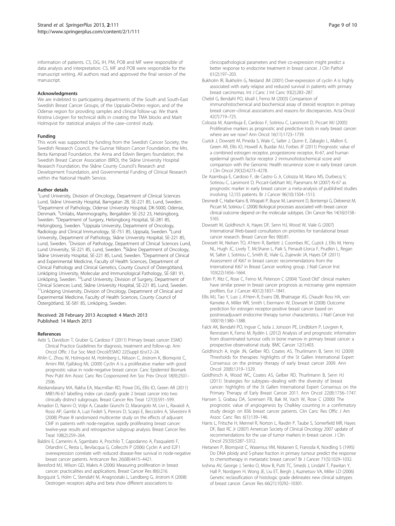<span id="page-8-0"></span>information of patients. CS, DG, IH, PM, POB and MF were responsible of data analysis and interpretation. CS, MF and POB were responsible for the manuscript writing. All authors read and approved the final version of the manuscript.

#### **Acknowledaments**

We are indebted to participating departments of the South and South-East Swedish Breast Cancer Groups, of the Uppsala-Örebro region, and of the Odense region for providing samples and clinical follow-up. We thank Kristina Lövgren for technical skills in creating the TMA blocks and Marit Holmqvist for statistical analysis of the case–control study.

#### Funding

This work was supported by funding from the Swedish Cancer Society, the Swedish Research Council, the Gunnar Nilsson Cancer Foundation, the Mrs. Berta Kamprad Foundation, the Anna and Edwin Bergers foundation, the Swedish Breast Cancer Association (BRO), the Skåne University Hospital Research Foundation, the Skåne County Council's Research and Development Foundation, and Governmental Funding of Clinical Research within the National Health Service.

#### Author details

<sup>1</sup> Lund University, Division of Oncology, Department of Clinical Sciences Lund, Skåne University Hospital, Barngatan 2B, SE-221 85, Lund, Sweden. <sup>2</sup>Department of Pathology, Odense University Hospital, DK-5000, Odense, Denmark. <sup>3</sup>Unilabs, Mammography, Bergaliden SE-252 23, Helsingborg, Sweden. <sup>4</sup>Department of Surgery, Helsingborg Hospital, SE-281 85, Helsingborg, Sweden. <sup>5</sup>Uppsala University, Department of Oncology, Radiology and Clinical Immunology, SE-751 85, Uppsala, Sweden. <sup>6</sup>Lund University, Department of Pathology, Skåne University Hospital, SE-221 85, Lund, Sweden. <sup>7</sup> Division of Pathology, Department of Clinical Sciences Lund, Lund University, SE-221 85, Lund, Sweden. <sup>8</sup>Skåne Department of Oncology, Skåne University Hospital, SE-221 85, Lund, Sweden. <sup>9</sup>Department of Clinical and Experimental Medicine, Faculty of Health Sciences, Department of Clinical Pathology and Clinical Genetics, County Council of Östergötland, Linköping University, Molecular and Immunological Pathology, SE-581 91, Linköping, Sweden.<sup>10</sup>Lund University, Division of Surgery, Department of Clinical Sciences Lund, Skåne University Hospital, SE-221 85, Lund, Sweden. <sup>11</sup>Linköping University, Division of Oncology, Department of Clinical and Experimental Medicine, Faculty of Health Sciences, County Council of Östergötland, SE-581 85, Linköping, Sweden.

#### Received: 28 February 2013 Accepted: 4 March 2013 Published: 14 March 2013

#### References

- Aebi S, Davidson T, Gruber G, Cardoso F (2011) Primary breast cancer: ESMO Clinical Practice Guidelines for diagnosis, treatment and follow-up. Ann Oncol Offic J Eur Soc Med Oncol/ESMO 22(Suppl 6):vi12–24.
- Ahlin C, Zhou W, Holmqvist M, Holmberg L, Nilsson C, Jirstrom K, Blomqvist C, Amini RM, Fjallskog ML (2009) Cyclin A is a proliferative marker with good prognostic value in node-negative breast cancer. Canc Epidemiol Biomark Prev Publ Am Assoc Canc Res Cosponsored Am Soc Prev Oncol 18(9):2501– 2506.
- Aleskandarany MA, Rakha EA, Macmillan RD, Powe DG, Ellis IO, Green AR (2011) MIB1/Ki-67 labelling index can classify grade 2 breast cancer into two clinically distinct subgroups. Breast Cancer Res Treat 127(3):591–599.
- Amadori D, Nanni O, Volpi A, Casadei Giunchi D, Marangolo M, Livi L, Ravaioli A, Rossi AP, Gambi A, Luzi Fedeli S, Perroni D, Scarpi E, Becciolini A, Silvestrini R (2008) Phase III randomized multicenter study on the effects of adjuvant CMF in patients with node-negative, rapidly proliferating breast cancer: twelve-year results and retrospective subgroup analysis. Breast Cancer Res Treat 108(2):259–264.
- Baldini E, Camerini A, Sgambato A, Prochilo T, Capodanno A, Pasqualetti F, Orlandini C, Resta L, Bevilacqua G, Collecchi P (2006) Cyclin A and E2F1 overexpression correlate with reduced disease-free survival in node-negative breast cancer patients. Anticancer Res 26(6B):4415–4421.
- Beresford MJ, Wilson GD, Makris A (2006) Measuring proliferation in breast cancer: practicalities and applications. Breast Cancer Res 8(6):216.
- Borgquist S, Holm C, Stendahl M, Anagnostaki L, Landberg G, Jirstrom K (2008) Oestrogen receptors alpha and beta show different associations to

clinicopathological parameters and their co-expression might predict a better response to endocrine treatment in breast cancer. J Clin Pathol 61(2):197–203.

- Bukholm IR, Bukholm G, Nesland JM (2001) Over-expression of cyclin A is highly associated with early relapse and reduced survival in patients with primary breast carcinomas. Int J Canc J Int Canc 93(2):283–287.
- Chebil G, Bendahl PO, Idvall I, Ferno M (2003) Comparison of immunohistochemical and biochemical assay of steroid receptors in primary breast cancer–clinical associations and reasons for discrepancies. Acta Oncol 42(7):719–725.
- Colozza M, Azambuja E, Cardoso F, Sotiriou C, Larsimont D, Piccart MJ (2005) Proliferative markers as prognostic and predictive tools in early breast cancer: where are we now? Ann Oncol 16(11):1723–1739.
- Cuzick J, Dowsett M, Pineda S, Wale C, Salter J, Quinn E, Zabaglo L, Mallon E, Green AR, Ellis IO, Howell A, Buzdar AU, Forbes JF (2011) Prognostic value of a combined estrogen receptor, progesterone receptor, Ki-67, and human epidermal growth factor receptor 2 immunohistochemical score and comparison with the Genomic Health recurrence score in early breast cancer. J Clin Oncol 29(32):4273–4278.
- De Azambuja E, Cardoso F, de Castro G Jr, Colozza M, Mano MS, Durbecq V, Sotiriou C, Larsimont D, Piccart-Gebhart MJ, Paesmans M (2007) Ki-67 as prognostic marker in early breast cancer: a meta-analysis of published studies involving 12,155 patients. Br J Cancer 96(10):1504–1513.
- Desmedt C, Haibe-Kains B, Wirapati P, Buyse M, Larsimont D, Bontempi G, Delorenzi M, Piccart M, Sotiriou C (2008) Biological processes associated with breast cancer clinical outcome depend on the molecular subtypes. Clin Cancer Res 14(16):5158– 5165.
- Dowsett M, Goldhirsch A, Hayes DF, Senn HJ, Wood W, Viale G (2007) International Web-based consultation on priorities for translational breast cancer research. Breast Cancer Res 9(6):81.
- Dowsett M, Nielsen TO, A'Hern R, Bartlett J, Coombes RC, Cuzick J, Ellis M, Henry NL, Hugh JC, Lively T, McShane L, Paik S, Penault-Llorca F, Prudkin L, Regan M, Salter J, Sotiriou C, Smith IE, Viale G, Zujewski JA, Hayes DF (2011) Assessment of Ki67 in breast cancer: recommendations from the International Ki67 in Breast Cancer working group. J Natl Cancer Inst 103(22):1656–1664.
- Eden P, Ritz C, Rose C, Ferno M, Peterson C (2004) "Good Old" clinical markers have similar power in breast cancer prognosis as microarray gene expression profilers. Eur J Cancer 40(12):1837–1841.
- Ellis MJ, Tao Y, Luo J, A'Hern R, Evans DB, Bhatnagar AS, Chaudri Ross HA, von Kameke A, Miller WR, Smith I, Eiermann W, Dowsett M (2008) Outcome prediction for estrogen receptor-positive breast cancer based on postneoadjuvant endocrine therapy tumor characteristics. J Natl Cancer Inst 100(19):1380–1388.
- Falck AK, Bendahl PO, Ingvar C, Isola J, Jonsson PE, Lindblom P, Lovgren K, Rennstam K, Ferno M, Rydén L (2012) Analysis of and prognostic information from disseminated tumour cells in bone marrow in primary breast cancer: a prospective observational study. BMC Cancer 12(1):403.
- Goldhirsch A, Ingle JN, Gelber RD, Coates AS, Thurlimann B, Senn HJ (2009) Thresholds for therapies: highlights of the St Gallen International Expert Consensus on the primary therapy of early breast cancer 2009. Ann Oncol 20(8):1319–1329.
- Goldhirsch A, Wood WC, Coates AS, Gelber RD, Thurlimann B, Senn HJ (2011) Strategies for subtypes--dealing with the diversity of breast cancer: highlights of the St Gallen International Expert Consensus on the Primary Therapy of Early Breast Cancer 2011. Ann Oncol 22(8):1736–1747.
- Hansen S, Grabau DA, Sorensen FB, Bak M, Vach W, Rose C (2000) The prognostic value of angiogenesis by Chalkley counting in a confirmatory study design on 836 breast cancer patients. Clin Canc Res Offic J Am Assoc Canc Res 6(1):139–146.
- Harris L, Fritsche H, Mennel R, Norton L, Ravdin P, Taube S, Somerfield MR, Hayes DF, Bast RC Jr (2007) American Society of Clinical Oncology 2007 update of recommendations for the use of tumor markers in breast cancer. J Clin Oncol 25(33):5287–5312.
- Hietanen P, Blomqvist C, Wasenius VM, Niskanen E, Franssila K, Nordling S (1995) Do DNA ploidy and S-phase fraction in primary tumour predict the response to chemotherapy in metastatic breast cancer? Br J Cancer 71(5):1029–1032.
- Ivshina AV, George J, Senko O, Mow B, Putti TC, Smeds J, Lindahl T, Pawitan Y, Hall P, Nordgren H, Wong JE, Liu ET, Bergh J, Kuznetsov VA, Miller LD (2006) Genetic reclassification of histologic grade delineates new clinical subtypes of breast cancer. Cancer Res 66(21):10292–10301.